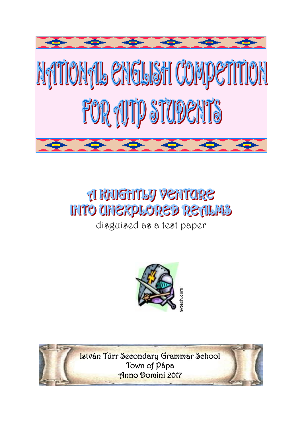

# **A RAIGHTLY VENTORE INTO CHIEXPLORED RETILMS**

disguised as a test paper



István Türr Secondary Grammar School Town of Pápa Anno Domini 2017

 $\overline{\phantom{a}}$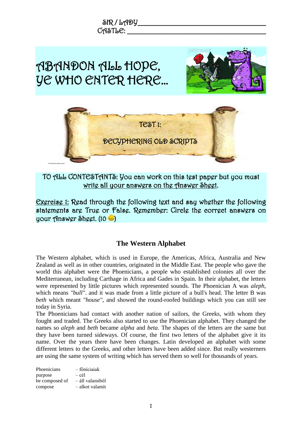

### TO ALL CONTESTANTS: You can work on this test paper but you must write all your answers on the Answer Sheet.

Exercise 1: Read through the following text and say whether the following statements are True or False. Remember: Circle the correct answers on your Answer Sheet. (10 )

#### **The Western Alphabet**

The Western alphabet, which is used in Europe, the Americas, Africa, Australia and New Zealand as well as in other countries, originated in the Middle East. The people who gave the world this alphabet were the Phoenicians, a people who established colonies all over the Mediterranean, including Carthage in Africa and Gades in Spain. In their alphabet, the letters were represented by little pictures which represented sounds. The Phoenician A was *aleph*, which means *"bull"*, and it was made from a little picture of a bull's head. The letter B was *beth* which meant *"house"*, and showed the round-roofed buildings which you can still see today in Syria.

The Phoenicians had contact with another nation of sailors, the Greeks, with whom they fought and traded. The Greeks also started to use the Phoenician alphabet. They changed the names so *aleph* and *beth* became *alpha* and *beta*. The shapes of the letters are the same but they have been turned sideways. Of course, the first two letters of the alphabet give it its name. Over the years there have been changes. Latin developed an alphabet with some different letters to the Greeks, and other letters have been added since. But really westerners are using the same system of writing which has served them so well for thousands of years.

| Phoenicians    | – főníciaiak    |
|----------------|-----------------|
| purpose        | – cél           |
| be composed of | – áll valamiből |
| compose        | – alkot valamit |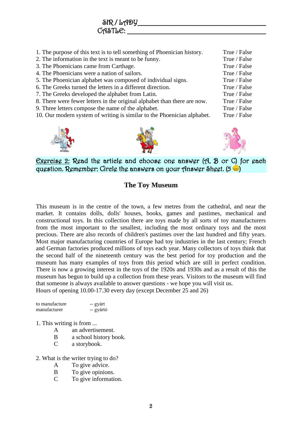1. The purpose of this text is to tell something of Phoenician history. True / False 2. The information in the text is meant to be funny. True / False 3. The Phoenicians came from Carthage. True / False 4. The Phoenicians were a nation of sailors. True / False 5. The Phoenician alphabet was composed of individual signs. True / False 6. The Greeks turned the letters in a different direction. True / False 7. The Greeks developed the alphabet from Latin. True / False

8. There were fewer letters in the original alphabet than there are now. True / False

 $SIR/LAPY$ 

 $C$ ASTL $C:$ 

- 9. Three letters compose the name of the alphabet. True / False
- 10. Our modern system of writing is similar to the Phoenician alphabet. True / False







Exercise 2: Read the article and choose one answer (A, B or C) for each question. Remember: Circle the answers on your Answer Sheet.  $(5 \bullet)$ 

#### **The Toy Museum**

This museum is in the centre of the town, a few metres from the cathedral, and near the market. It contains dolls, dolls' houses, books, games and pastimes, mechanical and constructional toys. In this collection there are toys made by all sorts of toy manufacturers from the most important to the smallest, including the most ordinary toys and the most precious. There are also records of children's pastimes over the last hundred and fifty years. Most major manufacturing countries of Europe had toy industries in the last century; French and German factories produced millions of toys each year. Many collectors of toys think that the second half of the nineteenth century was the best period for toy production and the museum has many examples of toys from this period which are still in perfect condition. There is now a growing interest in the toys of the 1920s and 1930s and as a result of this the museum has begun to build up a collection from these years. Visitors to the museum will find that someone is always available to answer questions - we hope you will visit us. Hours of opening 10.00-17.30 every day (except December 25 and 26)

| to manufacture | -- gyárt  |
|----------------|-----------|
| manufacturer   | -- gyártó |

#### 1. This writing is from ...

- A an advertisement.
- B a school history book.
- C a storybook.
- 2. What is the writer trying to do?
	- A To give advice.
	- B To give opinions.
	- C To give information.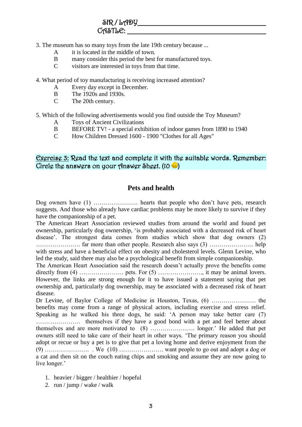- 3. The museum has so many toys from the late 19th century because ...
	- A it is located in the middle of town.
	- B many consider this period the best for manufactured toys.
	- C visitors are interested in toys from that time.
- 4. What period of toy manufacturing is receiving increased attention?
	- A Every day except in December.
	- B The 1920s and 1930s.
	- C The 20th century.

5. Which of the following advertisements would you find outside the Toy Museum?

- A Toys of Ancient Civilizations
- B BEFORE TV! a special exhibition of indoor games from 1890 to 1940
- C How Children Dressed 1600 1900 "Clothes for all Ages"

#### Exercise 3: Read the text and complete it with the suitable words. Remember: Circle the answers on your Answer Sheet.  $(10 - )$

#### **Pets and health**

Dog owners have (1) …………………. hearts that people who don't have pets, research suggests. And those who already have cardiac problems may be more likely to survive if they have the companionship of a pet.

The American Heart Association reviewed studies from around the world and found pet ownership, particularly dog ownership, 'is probably associated with a decreased risk of heart disease'. The strongest data comes from studies which show that dog owners (2) …………………. far more than other people. Research also says (3) …………………. help with stress and have a beneficial effect on obesity and cholesterol levels. Glenn Levine, who led the study, said there may also be a psychological benefit from simple companionship.

The American Heart Association said the research doesn't actually prove the benefits come directly from (4) …………………. pets. For (5) …………………., it may be animal lovers. However, the links are strong enough for it to have issued a statement saying that pet ownership and, particularly dog ownership, may be associated with a decreased risk of heart disease.

Dr Levine, of Baylor College of Medicine in Houston, Texas, (6) …………………. the benefits may come from a range of physical actors, including exercise and stress relief. Speaking as he walked his three dogs, he said: 'A person may take better care (7) …………………. themselves if they have a good bond with a pet and feel better about themselves and are more motivated to (8) …………………. longer.' He added that pet owners still need to take care of their heart in other ways. 'The primary reason you should adopt or recue or buy a pet is to give that pet a loving home and derive enjoyment from the (9) …………………. . We (10) …………………. want people to go out and adopt a dog or a cat and then sit on the couch eating chips and smoking and assume they are now going to live longer.'

- 1. heavier / bigger / healthier / hopeful
- 2. run / jump / wake / walk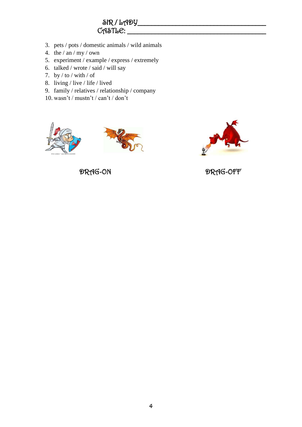# $SIR$  /  $L_{P}P$  $C$  $A$  $S$ T $b$  $C$ :  $\_\_$

- 3. pets / pots / domestic animals / wild animals
- 4. the  $/$  an  $/$  my  $/$  own
- 5. experiment / example / express / extremely
- 6. talked / wrote / said / will say
- 7. by  $/$  to  $/$  with  $/$  of
- 8. living / live / life / lived
- 9. family / relatives / relationship / company
- 10. wasn't / mustn't / can't / don't







DRAG-ON DRAG-OFF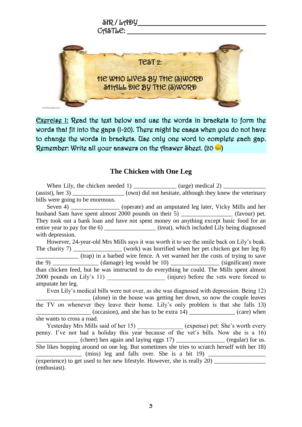

Exercise 1: Read the text below and use the words in brackets to form the words that fit into the gaps (1-20). There might be cases when you do not have to change the words in brackets. Use only one word to complete each gap. Remember: Write all your answers on the Answer Sheet. (20  $\bullet$  )

#### **The Chicken with One Leg**

When Lily, the chicken needed 1)  $(urge) \text{ medical } 2)$ (assist), her 3) \_\_\_\_\_\_\_\_\_\_\_\_\_\_\_\_\_\_\_\_\_(own) did not hesitate, although they knew the veterinary bills were going to be enormous. Seven 4) \_\_\_\_\_\_\_\_\_\_\_\_\_\_\_ (operate) and an amputated leg later, Vicky Mills and her

husband Sam have spent almost 2000 pounds on their 5) \_\_\_\_\_\_\_\_\_\_\_\_\_\_\_\_\_\_\_\_ (favour) pet. They took out a bank loan and have not spent money on anything except basic food for an entire year to pay for the 6) \_\_\_\_\_\_\_\_\_\_\_\_\_\_\_\_\_ (treat), which included Lily being diagnosed with depression.

However, 24-year-old Mrs Mills says it was worth it to see the smile back on Lily's beak. The charity 7) was horrified when her pet chicken got her leg 8) \_\_\_\_\_\_\_\_\_\_\_\_\_\_ (trap) in a barbed wire fence. A vet warned her the costs of trying to save the 9)  $\qquad \qquad$  (damage) leg would be 10)  $\qquad \qquad$  (significant) more than chicken feed, but he was instructed to do everything he could. The Mills spent almost 2000 pounds on Lily's 11) \_\_\_\_\_\_\_\_\_\_\_\_\_\_\_\_ (injure) before the vets were forced to amputate her leg.

Even Lily's medical bills were not over, as she was diagnosed with depression. Being 12) \_\_\_\_\_\_\_\_\_\_\_\_\_\_\_\_\_\_ (alone) in the house was getting her down, so now the couple leaves the TV on whenever they leave their home. Lily's only problem is that she falls 13)  $(occasion)$ , and she has to be extra 14)  $\qquad \qquad$  (care) when she wants to cross a road. Yesterday Mrs Mills said of her 15) \_\_\_\_\_\_\_\_\_\_\_\_\_\_\_ (expense) pet: She's worth every

penny. I've not had a holiday this year because of the vet's bills. Now she is a 16)  $(cheer)$  hen again and laying eggs  $17)$  \_\_\_\_\_\_\_\_\_\_\_\_\_\_\_\_ (regular) for us. She likes hopping around on one leg. But sometimes she tries to scratch herself with her 18)  $(miss)$  leg and falls over. She is a bit 19) (experience) to get used to her new lifestyle. However, she is really  $20$ )

(enthusiast).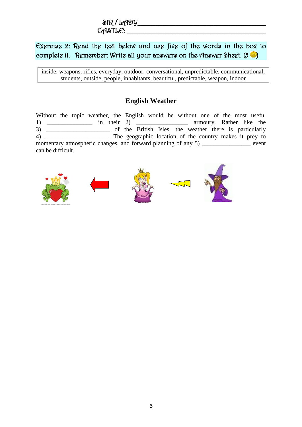# $\delta$ R / LADY  $C_A$ STL $C$ :  $\qquad \qquad \qquad$

# Exercise 2: Read the text below and use five of the words in the box to complete it. Remember: Write all your answers on the Answer Sheet.  $(5 \bullet)$

inside, weapons, rifles, everyday, outdoor, conversational, unpredictable, communicational, students, outside, people, inhabitants, beautiful, predictable, weapon, indoor

# **English Weather**

Without the topic weather, the English would be without one of the most useful 1) \_\_\_\_\_\_\_\_\_\_\_\_\_\_\_\_\_\_ in their 2) \_\_\_\_\_\_\_\_\_\_\_\_\_\_\_\_\_\_\_ armoury. Rather like the 3) \_\_\_\_\_\_\_\_\_\_\_\_\_\_\_\_\_\_\_\_\_\_ of the British Isles, the weather there is particularly 4) \_\_\_\_\_\_\_\_\_\_\_\_\_\_\_\_\_\_\_\_\_\_\_\_. The geographic location of the country makes it prey to momentary atmospheric changes, and forward planning of any 5) \_\_\_\_\_\_\_\_\_\_\_\_\_\_\_\_ event can be difficult.









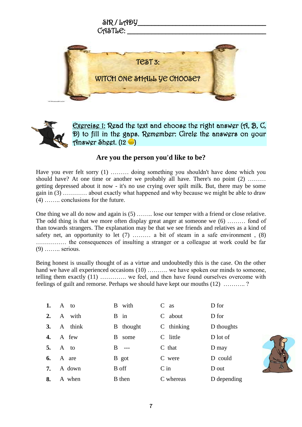



Exercise 1: Read the text and choose the right answer (A, B, C, D) to fill in the gaps. Remember: Circle the answers on your Answer Sheet.  $(12 \bullet)$ 

#### **Are you the person you'd like to be?**

Have you ever felt sorry (1) ……… doing something you shouldn't have done which you should have? At one time or another we probably all have. There's no point (2) ........ getting depressed about it now - it's no use crying over spilt milk. But, there may be some gain in (3) ………… about exactly what happened and why because we might be able to draw (4) …….. conclusions for the future.

One thing we all do now and again is (5) …….. lose our temper with a friend or close relative. The odd thing is that we more often display great anger at someone we (6) ……… fond of than towards strangers. The explanation may be that we see friends and relatives as a kind of safety net, an opportunity to let  $(7)$  …… a bit of steam in a safe environment,  $(8)$ …………… the consequences of insulting a stranger or a colleague at work could be far (9) …….. serious.

Being honest is usually thought of as a virtue and undoubtedly this is the case. On the other hand we have all experienced occasions (10) ………. we have spoken our minds to someone, telling them exactly (11) …………. we feel, and then have found ourselves overcome with feelings of guilt and remorse. Perhaps we should have kept our mouths (12) ……….. ?

| 1. | A to    | B with           | $C$ as       | D for       |
|----|---------|------------------|--------------|-------------|
| 2. | A with  | B in             | C about      | D for       |
| 3. | A think | <b>B</b> thought | $C$ thinking | D thoughts  |
| 4. | A few   | B<br>some        | C little     | D lot of    |
| 5. | A to    | $\mathbf{B}$ --- | $C$ that     | D may       |
| 6. | A are   | B got            | C were       | D could     |
| 7. | A down  | B off            | $C$ in       | D out       |
| 8. | A when  | <b>B</b> then    | C whereas    | D depending |